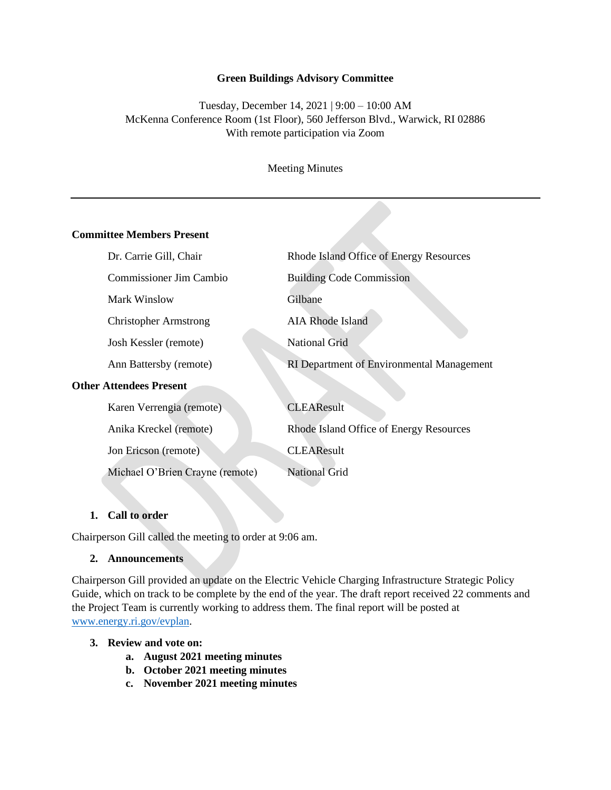#### **Green Buildings Advisory Committee**

Tuesday, December 14, 2021 | 9:00 – 10:00 AM McKenna Conference Room (1st Floor), 560 Jefferson Blvd., Warwick, RI 02886 With remote participation via Zoom

Meeting Minutes

#### **Committee Members Present**

| Dr. Carrie Gill, Chair          | Rhode Island Office of Energy Resources          |  |
|---------------------------------|--------------------------------------------------|--|
| <b>Commissioner Jim Cambio</b>  | <b>Building Code Commission</b>                  |  |
| Mark Winslow                    | Gilbane                                          |  |
| <b>Christopher Armstrong</b>    | <b>AIA Rhode Island</b>                          |  |
| Josh Kessler (remote)           | <b>National Grid</b>                             |  |
| Ann Battersby (remote)          | <b>RI</b> Department of Environmental Management |  |
| <b>Other Attendees Present</b>  |                                                  |  |
| Karen Verrengia (remote)        | <b>CLEAResult</b>                                |  |
| Anika Kreckel (remote)          | Rhode Island Office of Energy Resources          |  |
| Jon Ericson (remote)            | <b>CLEAResult</b>                                |  |
| Michael O'Brien Crayne (remote) | <b>National Grid</b>                             |  |

### **1. Call to order**

Chairperson Gill called the meeting to order at 9:06 am.

### **2. Announcements**

Chairperson Gill provided an update on the Electric Vehicle Charging Infrastructure Strategic Policy Guide, which on track to be complete by the end of the year. The draft report received 22 comments and the Project Team is currently working to address them. The final report will be posted at [www.energy.ri.gov/evplan.](http://www.energy.ri.gov/evplan)

#### **3. Review and vote on:**

- **a. August 2021 meeting minutes**
- **b. October 2021 meeting minutes**
- **c. November 2021 meeting minutes**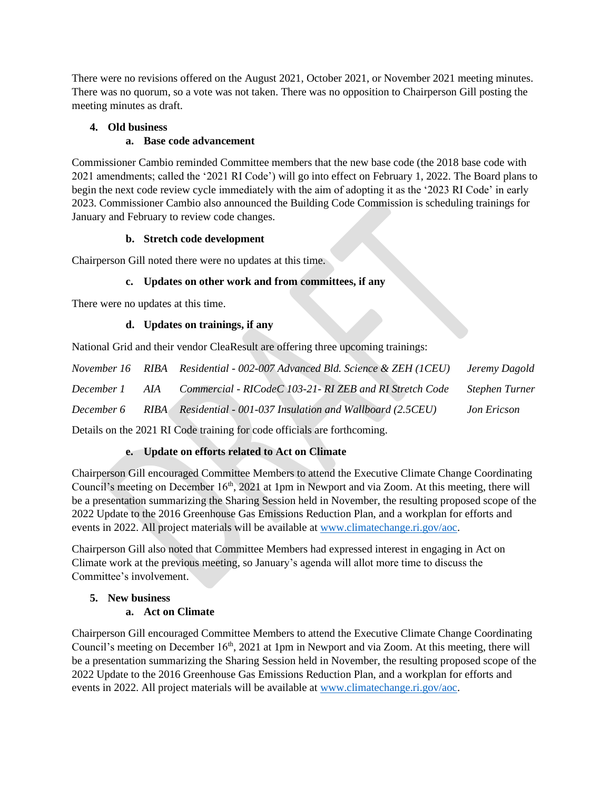There were no revisions offered on the August 2021, October 2021, or November 2021 meeting minutes. There was no quorum, so a vote was not taken. There was no opposition to Chairperson Gill posting the meeting minutes as draft.

## **4. Old business**

## **a. Base code advancement**

Commissioner Cambio reminded Committee members that the new base code (the 2018 base code with 2021 amendments; called the '2021 RI Code') will go into effect on February 1, 2022. The Board plans to begin the next code review cycle immediately with the aim of adopting it as the '2023 RI Code' in early 2023. Commissioner Cambio also announced the Building Code Commission is scheduling trainings for January and February to review code changes.

## **b. Stretch code development**

Chairperson Gill noted there were no updates at this time.

# **c. Updates on other work and from committees, if any**

There were no updates at this time.

### **d. Updates on trainings, if any**

National Grid and their vendor CleaResult are offering three upcoming trainings:

|            | November 16 RIBA Residential - 002-007 Advanced Bld. Science & ZEH (1CEU) Jeremy Dagold |                |
|------------|-----------------------------------------------------------------------------------------|----------------|
|            | December 1 AIA Commercial - RICodeC 103-21- RI ZEB and RI Stretch Code                  | Stephen Turner |
| December 6 | RIBA Residential - 001-037 Insulation and Wallboard (2.5CEU)                            | Jon Ericson    |

Details on the 2021 RI Code training for code officials are forthcoming.

# **e. Update on efforts related to Act on Climate**

Chairperson Gill encouraged Committee Members to attend the Executive Climate Change Coordinating Council's meeting on December 16<sup>th</sup>, 2021 at 1pm in Newport and via Zoom. At this meeting, there will be a presentation summarizing the Sharing Session held in November, the resulting proposed scope of the 2022 Update to the 2016 Greenhouse Gas Emissions Reduction Plan, and a workplan for efforts and events in 2022. All project materials will be available at [www.climatechange.ri.gov/aoc.](http://www.climatechange.ri.gov/aoc)

Chairperson Gill also noted that Committee Members had expressed interest in engaging in Act on Climate work at the previous meeting, so January's agenda will allot more time to discuss the Committee's involvement.

# **5. New business**

# **a. Act on Climate**

Chairperson Gill encouraged Committee Members to attend the Executive Climate Change Coordinating Council's meeting on December 16<sup>th</sup>, 2021 at 1pm in Newport and via Zoom. At this meeting, there will be a presentation summarizing the Sharing Session held in November, the resulting proposed scope of the 2022 Update to the 2016 Greenhouse Gas Emissions Reduction Plan, and a workplan for efforts and events in 2022. All project materials will be available at [www.climatechange.ri.gov/aoc.](http://www.climatechange.ri.gov/aoc)